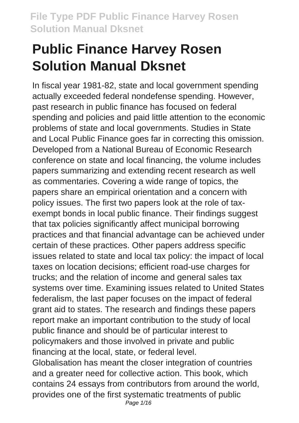# **Public Finance Harvey Rosen Solution Manual Dksnet**

In fiscal year 1981-82, state and local government spending actually exceeded federal nondefense spending. However, past research in public finance has focused on federal spending and policies and paid little attention to the economic problems of state and local governments. Studies in State and Local Public Finance goes far in correcting this omission. Developed from a National Bureau of Economic Research conference on state and local financing, the volume includes papers summarizing and extending recent research as well as commentaries. Covering a wide range of topics, the papers share an empirical orientation and a concern with policy issues. The first two papers look at the role of taxexempt bonds in local public finance. Their findings suggest that tax policies significantly affect municipal borrowing practices and that financial advantage can be achieved under certain of these practices. Other papers address specific issues related to state and local tax policy: the impact of local taxes on location decisions; efficient road-use charges for trucks; and the relation of income and general sales tax systems over time. Examining issues related to United States federalism, the last paper focuses on the impact of federal grant aid to states. The research and findings these papers report make an important contribution to the study of local public finance and should be of particular interest to policymakers and those involved in private and public financing at the local, state, or federal level. Globalisation has meant the closer integration of countries and a greater need for collective action. This book, which contains 24 essays from contributors from around the world, provides one of the first systematic treatments of public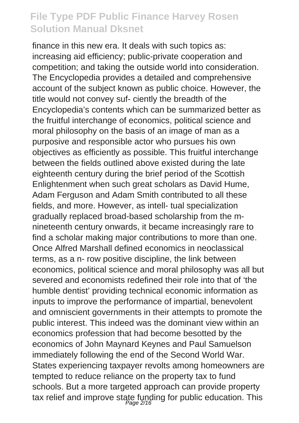finance in this new era. It deals with such topics as: increasing aid efficiency; public-private cooperation and competition; and taking the outside world into consideration. The Encyclopedia provides a detailed and comprehensive account of the subject known as public choice. However, the title would not convey suf- ciently the breadth of the Encyclopedia's contents which can be summarized better as the fruitful interchange of economics, political science and moral philosophy on the basis of an image of man as a purposive and responsible actor who pursues his own objectives as efficiently as possible. This fruitful interchange between the fields outlined above existed during the late eighteenth century during the brief period of the Scottish Enlightenment when such great scholars as David Hume, Adam Ferguson and Adam Smith contributed to all these fields, and more. However, as intell- tual specialization gradually replaced broad-based scholarship from the mnineteenth century onwards, it became increasingly rare to find a scholar making major contributions to more than one. Once Alfred Marshall defined economics in neoclassical terms, as a n- row positive discipline, the link between economics, political science and moral philosophy was all but severed and economists redefined their role into that of 'the humble dentist' providing technical economic information as inputs to improve the performance of impartial, benevolent and omniscient governments in their attempts to promote the public interest. This indeed was the dominant view within an economics profession that had become besotted by the economics of John Maynard Keynes and Paul Samuelson immediately following the end of the Second World War. States experiencing taxpayer revolts among homeowners are tempted to reduce reliance on the property tax to fund schools. But a more targeted approach can provide property tax relief and improve state funding for public education. This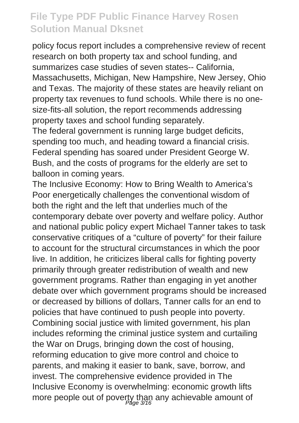policy focus report includes a comprehensive review of recent research on both property tax and school funding, and summarizes case studies of seven states-- California, Massachusetts, Michigan, New Hampshire, New Jersey, Ohio and Texas. The majority of these states are heavily reliant on property tax revenues to fund schools. While there is no onesize-fits-all solution, the report recommends addressing property taxes and school funding separately.

The federal government is running large budget deficits, spending too much, and heading toward a financial crisis. Federal spending has soared under President George W. Bush, and the costs of programs for the elderly are set to balloon in coming years.

The Inclusive Economy: How to Bring Wealth to America's Poor energetically challenges the conventional wisdom of both the right and the left that underlies much of the contemporary debate over poverty and welfare policy. Author and national public policy expert Michael Tanner takes to task conservative critiques of a "culture of poverty" for their failure to account for the structural circumstances in which the poor live. In addition, he criticizes liberal calls for fighting poverty primarily through greater redistribution of wealth and new government programs. Rather than engaging in yet another debate over which government programs should be increased or decreased by billions of dollars, Tanner calls for an end to policies that have continued to push people into poverty. Combining social justice with limited government, his plan includes reforming the criminal justice system and curtailing the War on Drugs, bringing down the cost of housing, reforming education to give more control and choice to parents, and making it easier to bank, save, borrow, and invest. The comprehensive evidence provided in The Inclusive Economy is overwhelming: economic growth lifts more people out of poverty than any achievable amount of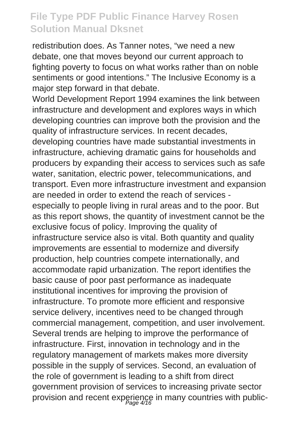redistribution does. As Tanner notes, "we need a new debate, one that moves beyond our current approach to fighting poverty to focus on what works rather than on noble sentiments or good intentions." The Inclusive Economy is a major step forward in that debate.

World Development Report 1994 examines the link between infrastructure and development and explores ways in which developing countries can improve both the provision and the quality of infrastructure services. In recent decades, developing countries have made substantial investments in infrastructure, achieving dramatic gains for households and producers by expanding their access to services such as safe water, sanitation, electric power, telecommunications, and transport. Even more infrastructure investment and expansion are needed in order to extend the reach of services especially to people living in rural areas and to the poor. But as this report shows, the quantity of investment cannot be the exclusive focus of policy. Improving the quality of infrastructure service also is vital. Both quantity and quality improvements are essential to modernize and diversify production, help countries compete internationally, and accommodate rapid urbanization. The report identifies the basic cause of poor past performance as inadequate institutional incentives for improving the provision of infrastructure. To promote more efficient and responsive service delivery, incentives need to be changed through commercial management, competition, and user involvement. Several trends are helping to improve the performance of infrastructure. First, innovation in technology and in the regulatory management of markets makes more diversity possible in the supply of services. Second, an evaluation of the role of government is leading to a shift from direct government provision of services to increasing private sector provision and recent experience in many countries with public-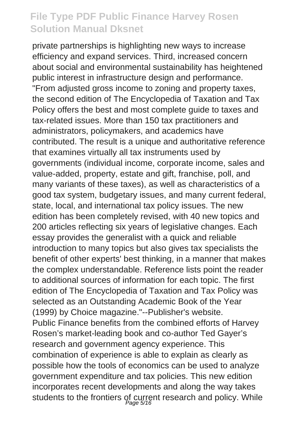private partnerships is highlighting new ways to increase efficiency and expand services. Third, increased concern about social and environmental sustainability has heightened public interest in infrastructure design and performance. "From adjusted gross income to zoning and property taxes, the second edition of The Encyclopedia of Taxation and Tax Policy offers the best and most complete guide to taxes and tax-related issues. More than 150 tax practitioners and administrators, policymakers, and academics have contributed. The result is a unique and authoritative reference that examines virtually all tax instruments used by governments (individual income, corporate income, sales and value-added, property, estate and gift, franchise, poll, and many variants of these taxes), as well as characteristics of a good tax system, budgetary issues, and many current federal, state, local, and international tax policy issues. The new edition has been completely revised, with 40 new topics and 200 articles reflecting six years of legislative changes. Each essay provides the generalist with a quick and reliable introduction to many topics but also gives tax specialists the benefit of other experts' best thinking, in a manner that makes the complex understandable. Reference lists point the reader to additional sources of information for each topic. The first edition of The Encyclopedia of Taxation and Tax Policy was selected as an Outstanding Academic Book of the Year (1999) by Choice magazine."--Publisher's website. Public Finance benefits from the combined efforts of Harvey Rosen's market-leading book and co-author Ted Gayer's research and government agency experience. This combination of experience is able to explain as clearly as possible how the tools of economics can be used to analyze government expenditure and tax policies. This new edition incorporates recent developments and along the way takes students to the frontiers of current research and policy. While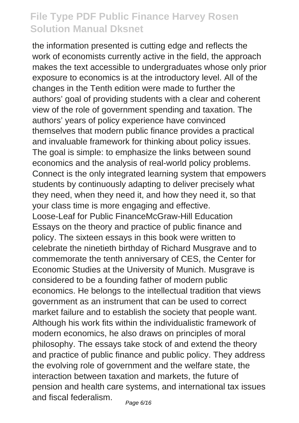the information presented is cutting edge and reflects the work of economists currently active in the field, the approach makes the text accessible to undergraduates whose only prior exposure to economics is at the introductory level. All of the changes in the Tenth edition were made to further the authors' goal of providing students with a clear and coherent view of the role of government spending and taxation. The authors' years of policy experience have convinced themselves that modern public finance provides a practical and invaluable framework for thinking about policy issues. The goal is simple: to emphasize the links between sound economics and the analysis of real-world policy problems. Connect is the only integrated learning system that empowers students by continuously adapting to deliver precisely what they need, when they need it, and how they need it, so that your class time is more engaging and effective. Loose-Leaf for Public FinanceMcGraw-Hill Education Essays on the theory and practice of public finance and policy. The sixteen essays in this book were written to celebrate the ninetieth birthday of Richard Musgrave and to commemorate the tenth anniversary of CES, the Center for Economic Studies at the University of Munich. Musgrave is considered to be a founding father of modern public economics. He belongs to the intellectual tradition that views government as an instrument that can be used to correct market failure and to establish the society that people want. Although his work fits within the individualistic framework of modern economics, he also draws on principles of moral philosophy. The essays take stock of and extend the theory and practice of public finance and public policy. They address the evolving role of government and the welfare state, the interaction between taxation and markets, the future of pension and health care systems, and international tax issues and fiscal federalism.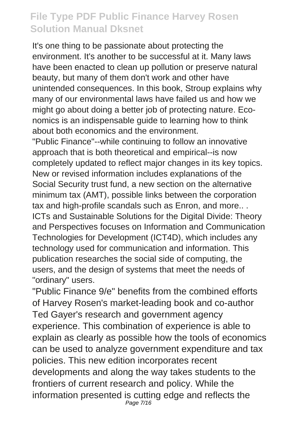It's one thing to be passionate about protecting the environment. It's another to be successful at it. Many laws have been enacted to clean up pollution or preserve natural beauty, but many of them don't work and other have unintended consequences. In this book, Stroup explains why many of our environmental laws have failed us and how we might go about doing a better job of protecting nature. Economics is an indispensable guide to learning how to think about both economics and the environment.

"Public Finance"--while continuing to follow an innovative approach that is both theoretical and empirical--is now completely updated to reflect major changes in its key topics. New or revised information includes explanations of the Social Security trust fund, a new section on the alternative minimum tax (AMT), possible links between the corporation tax and high-profile scandals such as Enron, and more.. . ICTs and Sustainable Solutions for the Digital Divide: Theory and Perspectives focuses on Information and Communication Technologies for Development (ICT4D), which includes any technology used for communication and information. This publication researches the social side of computing, the users, and the design of systems that meet the needs of "ordinary" users.

"Public Finance 9/e" benefits from the combined efforts of Harvey Rosen's market-leading book and co-author Ted Gayer's research and government agency experience. This combination of experience is able to explain as clearly as possible how the tools of economics can be used to analyze government expenditure and tax policies. This new edition incorporates recent developments and along the way takes students to the frontiers of current research and policy. While the information presented is cutting edge and reflects the Page 7/16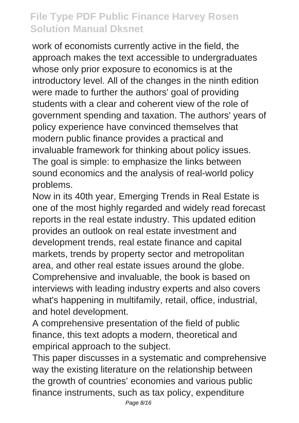work of economists currently active in the field, the approach makes the text accessible to undergraduates whose only prior exposure to economics is at the introductory level. All of the changes in the ninth edition were made to further the authors' goal of providing students with a clear and coherent view of the role of government spending and taxation. The authors' years of policy experience have convinced themselves that modern public finance provides a practical and invaluable framework for thinking about policy issues. The goal is simple: to emphasize the links between sound economics and the analysis of real-world policy problems.

Now in its 40th year, Emerging Trends in Real Estate is one of the most highly regarded and widely read forecast reports in the real estate industry. This updated edition provides an outlook on real estate investment and development trends, real estate finance and capital markets, trends by property sector and metropolitan area, and other real estate issues around the globe. Comprehensive and invaluable, the book is based on interviews with leading industry experts and also covers what's happening in multifamily, retail, office, industrial, and hotel development.

A comprehensive presentation of the field of public finance, this text adopts a modern, theoretical and empirical approach to the subject.

This paper discusses in a systematic and comprehensive way the existing literature on the relationship between the growth of countries' economies and various public finance instruments, such as tax policy, expenditure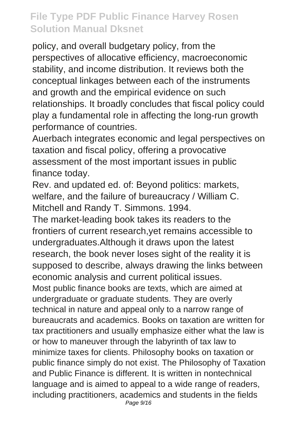policy, and overall budgetary policy, from the perspectives of allocative efficiency, macroeconomic stability, and income distribution. It reviews both the conceptual linkages between each of the instruments and growth and the empirical evidence on such relationships. It broadly concludes that fiscal policy could play a fundamental role in affecting the long-run growth performance of countries.

Auerbach integrates economic and legal perspectives on taxation and fiscal policy, offering a provocative assessment of the most important issues in public finance today.

Rev. and updated ed. of: Beyond politics: markets, welfare, and the failure of bureaucracy / William C. Mitchell and Randy T. Simmons. 1994.

The market-leading book takes its readers to the frontiers of current research,yet remains accessible to undergraduates.Although it draws upon the latest research, the book never loses sight of the reality it is supposed to describe, always drawing the links between economic analysis and current political issues. Most public finance books are texts, which are aimed at undergraduate or graduate students. They are overly technical in nature and appeal only to a narrow range of bureaucrats and academics. Books on taxation are written for tax practitioners and usually emphasize either what the law is or how to maneuver through the labyrinth of tax law to minimize taxes for clients. Philosophy books on taxation or public finance simply do not exist. The Philosophy of Taxation and Public Finance is different. It is written in nontechnical language and is aimed to appeal to a wide range of readers,

including practitioners, academics and students in the fields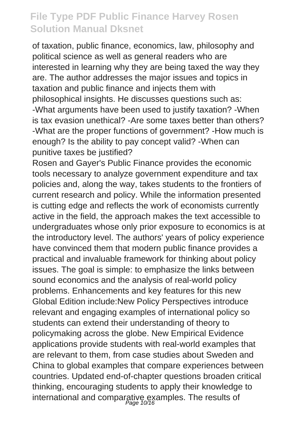of taxation, public finance, economics, law, philosophy and political science as well as general readers who are interested in learning why they are being taxed the way they are. The author addresses the major issues and topics in taxation and public finance and injects them with philosophical insights. He discusses questions such as: -What arguments have been used to justify taxation? -When is tax evasion unethical? -Are some taxes better than others? -What are the proper functions of government? -How much is enough? Is the ability to pay concept valid? -When can punitive taxes be justified?

Rosen and Gayer's Public Finance provides the economic tools necessary to analyze government expenditure and tax policies and, along the way, takes students to the frontiers of current research and policy. While the information presented is cutting edge and reflects the work of economists currently active in the field, the approach makes the text accessible to undergraduates whose only prior exposure to economics is at the introductory level. The authors' years of policy experience have convinced them that modern public finance provides a practical and invaluable framework for thinking about policy issues. The goal is simple: to emphasize the links between sound economics and the analysis of real-world policy problems. Enhancements and key features for this new Global Edition include:New Policy Perspectives introduce relevant and engaging examples of international policy so students can extend their understanding of theory to policymaking across the globe. New Empirical Evidence applications provide students with real-world examples that are relevant to them, from case studies about Sweden and China to global examples that compare experiences between countries. Updated end-of-chapter questions broaden critical thinking, encouraging students to apply their knowledge to international and comparative examples. The results of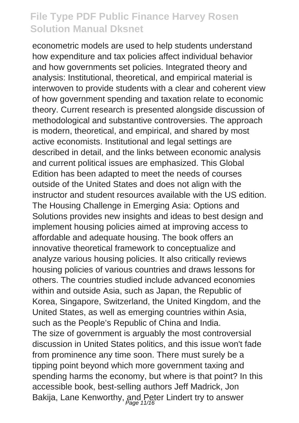econometric models are used to help students understand how expenditure and tax policies affect individual behavior and how governments set policies. Integrated theory and analysis: Institutional, theoretical, and empirical material is interwoven to provide students with a clear and coherent view of how government spending and taxation relate to economic theory. Current research is presented alongside discussion of methodological and substantive controversies. The approach is modern, theoretical, and empirical, and shared by most active economists. Institutional and legal settings are described in detail, and the links between economic analysis and current political issues are emphasized. This Global Edition has been adapted to meet the needs of courses outside of the United States and does not align with the instructor and student resources available with the US edition. The Housing Challenge in Emerging Asia: Options and Solutions provides new insights and ideas to best design and implement housing policies aimed at improving access to affordable and adequate housing. The book offers an innovative theoretical framework to conceptualize and analyze various housing policies. It also critically reviews housing policies of various countries and draws lessons for others. The countries studied include advanced economies within and outside Asia, such as Japan, the Republic of Korea, Singapore, Switzerland, the United Kingdom, and the United States, as well as emerging countries within Asia, such as the People's Republic of China and India. The size of government is arguably the most controversial discussion in United States politics, and this issue won't fade from prominence any time soon. There must surely be a tipping point beyond which more government taxing and spending harms the economy, but where is that point? In this accessible book, best-selling authors Jeff Madrick, Jon Bakija, Lane Kenworthy, and Peter Lindert try to answer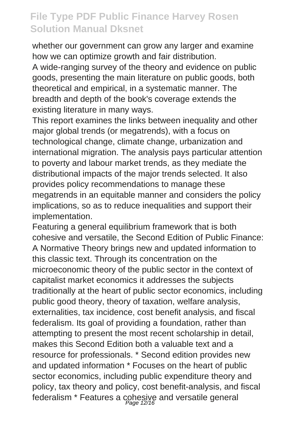whether our government can grow any larger and examine how we can optimize growth and fair distribution.

A wide-ranging survey of the theory and evidence on public goods, presenting the main literature on public goods, both theoretical and empirical, in a systematic manner. The breadth and depth of the book's coverage extends the existing literature in many ways.

This report examines the links between inequality and other major global trends (or megatrends), with a focus on technological change, climate change, urbanization and international migration. The analysis pays particular attention to poverty and labour market trends, as they mediate the distributional impacts of the major trends selected. It also provides policy recommendations to manage these megatrends in an equitable manner and considers the policy implications, so as to reduce inequalities and support their implementation.

Featuring a general equilibrium framework that is both cohesive and versatile, the Second Edition of Public Finance: A Normative Theory brings new and updated information to this classic text. Through its concentration on the microeconomic theory of the public sector in the context of capitalist market economics it addresses the subjects traditionally at the heart of public sector economics, including public good theory, theory of taxation, welfare analysis, externalities, tax incidence, cost benefit analysis, and fiscal federalism. Its goal of providing a foundation, rather than attempting to present the most recent scholarship in detail, makes this Second Edition both a valuable text and a resource for professionals. \* Second edition provides new and updated information \* Focuses on the heart of public sector economics, including public expenditure theory and policy, tax theory and policy, cost benefit-analysis, and fiscal federalism \* Features a cohesive and versatile general Page 12/16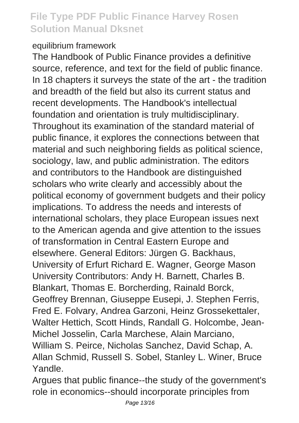#### equilibrium framework

The Handbook of Public Finance provides a definitive source, reference, and text for the field of public finance. In 18 chapters it surveys the state of the art - the tradition and breadth of the field but also its current status and recent developments. The Handbook's intellectual foundation and orientation is truly multidisciplinary. Throughout its examination of the standard material of public finance, it explores the connections between that material and such neighboring fields as political science, sociology, law, and public administration. The editors and contributors to the Handbook are distinguished scholars who write clearly and accessibly about the political economy of government budgets and their policy implications. To address the needs and interests of international scholars, they place European issues next to the American agenda and give attention to the issues of transformation in Central Eastern Europe and elsewhere. General Editors: Jürgen G. Backhaus, University of Erfurt Richard E. Wagner, George Mason University Contributors: Andy H. Barnett, Charles B. Blankart, Thomas E. Borcherding, Rainald Borck, Geoffrey Brennan, Giuseppe Eusepi, J. Stephen Ferris, Fred E. Folvary, Andrea Garzoni, Heinz Grossekettaler, Walter Hettich, Scott Hinds, Randall G. Holcombe, Jean-Michel Josselin, Carla Marchese, Alain Marciano, William S. Peirce, Nicholas Sanchez, David Schap, A. Allan Schmid, Russell S. Sobel, Stanley L. Winer, Bruce Yandle.

Argues that public finance--the study of the government's role in economics--should incorporate principles from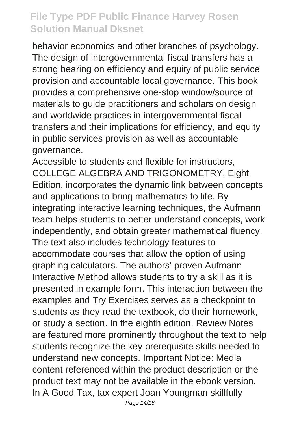behavior economics and other branches of psychology. The design of intergovernmental fiscal transfers has a strong bearing on efficiency and equity of public service provision and accountable local governance. This book provides a comprehensive one-stop window/source of materials to guide practitioners and scholars on design and worldwide practices in intergovernmental fiscal transfers and their implications for efficiency, and equity in public services provision as well as accountable governance.

Accessible to students and flexible for instructors, COLLEGE ALGEBRA AND TRIGONOMETRY, Eight Edition, incorporates the dynamic link between concepts and applications to bring mathematics to life. By integrating interactive learning techniques, the Aufmann team helps students to better understand concepts, work independently, and obtain greater mathematical fluency. The text also includes technology features to accommodate courses that allow the option of using graphing calculators. The authors' proven Aufmann Interactive Method allows students to try a skill as it is presented in example form. This interaction between the examples and Try Exercises serves as a checkpoint to students as they read the textbook, do their homework, or study a section. In the eighth edition, Review Notes are featured more prominently throughout the text to help students recognize the key prerequisite skills needed to understand new concepts. Important Notice: Media content referenced within the product description or the product text may not be available in the ebook version. In A Good Tax, tax expert Joan Youngman skillfully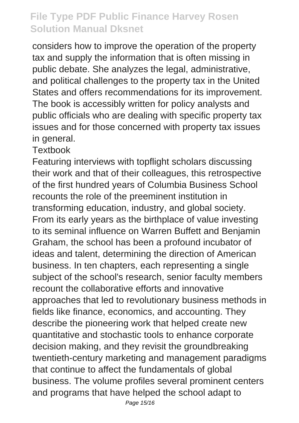considers how to improve the operation of the property tax and supply the information that is often missing in public debate. She analyzes the legal, administrative, and political challenges to the property tax in the United States and offers recommendations for its improvement. The book is accessibly written for policy analysts and public officials who are dealing with specific property tax issues and for those concerned with property tax issues in general.

**Textbook** 

Featuring interviews with topflight scholars discussing their work and that of their colleagues, this retrospective of the first hundred years of Columbia Business School recounts the role of the preeminent institution in transforming education, industry, and global society. From its early years as the birthplace of value investing to its seminal influence on Warren Buffett and Benjamin Graham, the school has been a profound incubator of ideas and talent, determining the direction of American business. In ten chapters, each representing a single subject of the school's research, senior faculty members recount the collaborative efforts and innovative approaches that led to revolutionary business methods in fields like finance, economics, and accounting. They describe the pioneering work that helped create new quantitative and stochastic tools to enhance corporate decision making, and they revisit the groundbreaking twentieth-century marketing and management paradigms that continue to affect the fundamentals of global business. The volume profiles several prominent centers and programs that have helped the school adapt to